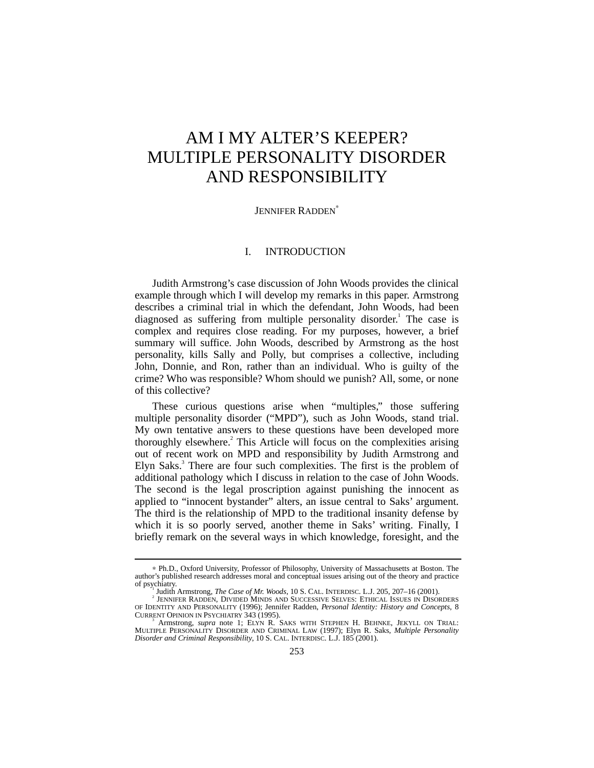# AM I MY ALTER'S KEEPER? MULTIPLE PERSONALITY DISORDER AND RESPONSIBILITY

#### JENNIFER RADDEN<sup>\*</sup>

## I. INTRODUCTION

Judith Armstrong's case discussion of John Woods provides the clinical example through which I will develop my remarks in this paper. Armstrong describes a criminal trial in which the defendant, John Woods, had been diagnosed as suffering from multiple personality disorder.<sup>1</sup> The case is complex and requires close reading. For my purposes, however, a brief summary will suffice. John Woods, described by Armstrong as the host personality, kills Sally and Polly, but comprises a collective, including John, Donnie, and Ron, rather than an individual. Who is guilty of the crime? Who was responsible? Whom should we punish? All, some, or none of this collective?

These curious questions arise when "multiples," those suffering multiple personality disorder ("MPD"), such as John Woods, stand trial. My own tentative answers to these questions have been developed more thoroughly elsewhere.<sup>2</sup> This Article will focus on the complexities arising out of recent work on MPD and responsibility by Judith Armstrong and Elyn Saks.<sup>3</sup> There are four such complexities. The first is the problem of additional pathology which I discuss in relation to the case of John Woods. The second is the legal proscription against punishing the innocent as applied to "innocent bystander" alters, an issue central to Saks' argument. The third is the relationship of MPD to the traditional insanity defense by which it is so poorly served, another theme in Saks' writing. Finally, I briefly remark on the several ways in which knowledge, foresight, and the

<sup>∗</sup> Ph.D., Oxford University, Professor of Philosophy, University of Massachusetts at Boston. The author's published research addresses moral and conceptual issues arising out of the theory and practice of psychiatry. <sup>1</sup>

Judith Armstrong, *The Case of Mr. Woods*, 10 S. CAL. INTERDISC. L.J. 205, 207–16 (2001). <sup>2</sup>

JENNIFER RADDEN, DIVIDED MINDS AND SUCCESSIVE SELVES: ETHICAL ISSUES IN DISORDERS OF IDENTITY AND PERSONALITY (1996); Jennifer Radden, *Personal Identity: History and Concepts*, 8 CURRENT OPINION IN PSYCHIATRY 343 (1995).

Armstrong, *supra* note 1; ELYN R. SAKS WITH STEPHEN H. BEHNKE, JEKYLL ON TRIAL: MULTIPLE PERSONALITY DISORDER AND CRIMINAL LAW (1997); Elyn R. Saks, *Multiple Personality Disorder and Criminal Responsibility*, 10 S. CAL. INTERDISC. L.J. 185 (2001).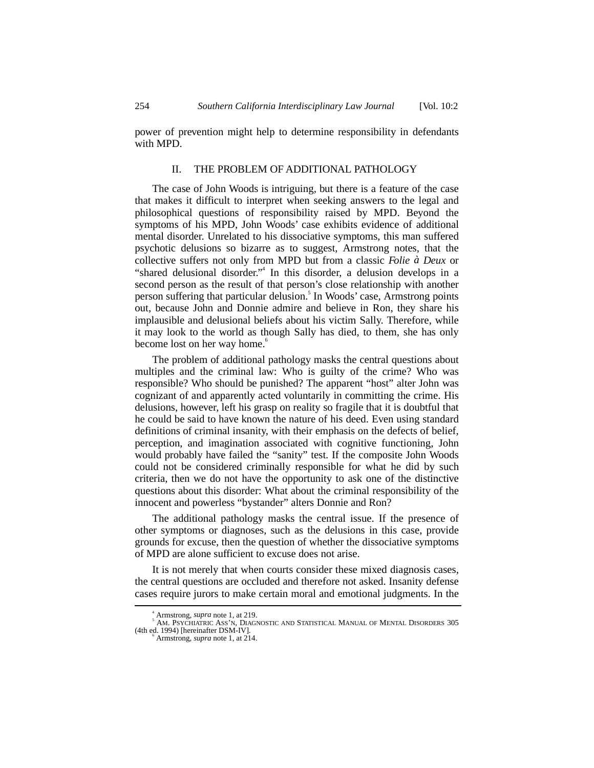power of prevention might help to determine responsibility in defendants with MPD.

#### II. THE PROBLEM OF ADDITIONAL PATHOLOGY

The case of John Woods is intriguing, but there is a feature of the case that makes it difficult to interpret when seeking answers to the legal and philosophical questions of responsibility raised by MPD. Beyond the symptoms of his MPD, John Woods' case exhibits evidence of additional mental disorder. Unrelated to his dissociative symptoms, this man suffered psychotic delusions so bizarre as to suggest, Armstrong notes, that the collective suffers not only from MPD but from a classic *Folie à Deux* or "shared delusional disorder."<sup>4</sup> In this disorder, a delusion develops in a second person as the result of that person's close relationship with another person suffering that particular delusion.<sup>5</sup> In Woods' case, Armstrong points out, because John and Donnie admire and believe in Ron, they share his implausible and delusional beliefs about his victim Sally. Therefore, while it may look to the world as though Sally has died, to them, she has only become lost on her way home.<sup>6</sup>

The problem of additional pathology masks the central questions about multiples and the criminal law: Who is guilty of the crime? Who was responsible? Who should be punished? The apparent "host" alter John was cognizant of and apparently acted voluntarily in committing the crime. His delusions, however, left his grasp on reality so fragile that it is doubtful that he could be said to have known the nature of his deed. Even using standard definitions of criminal insanity, with their emphasis on the defects of belief, perception, and imagination associated with cognitive functioning, John would probably have failed the "sanity" test. If the composite John Woods could not be considered criminally responsible for what he did by such criteria, then we do not have the opportunity to ask one of the distinctive questions about this disorder: What about the criminal responsibility of the innocent and powerless "bystander" alters Donnie and Ron?

The additional pathology masks the central issue. If the presence of other symptoms or diagnoses, such as the delusions in this case, provide grounds for excuse, then the question of whether the dissociative symptoms of MPD are alone sufficient to excuse does not arise.

It is not merely that when courts consider these mixed diagnosis cases, the central questions are occluded and therefore not asked. Insanity defense cases require jurors to make certain moral and emotional judgments. In the

 $\overline{\phantom{a}}$ Armstrong, *supra* note 1, at 219. <sup>5</sup>

AM. PSYCHIATRIC ASS'N, DIAGNOSTIC AND STATISTICAL MANUAL OF MENTAL DISORDERS 305 (4th ed. 1994) [hereinafter DSM-IV].

Armstrong, *supra* note 1, at 214.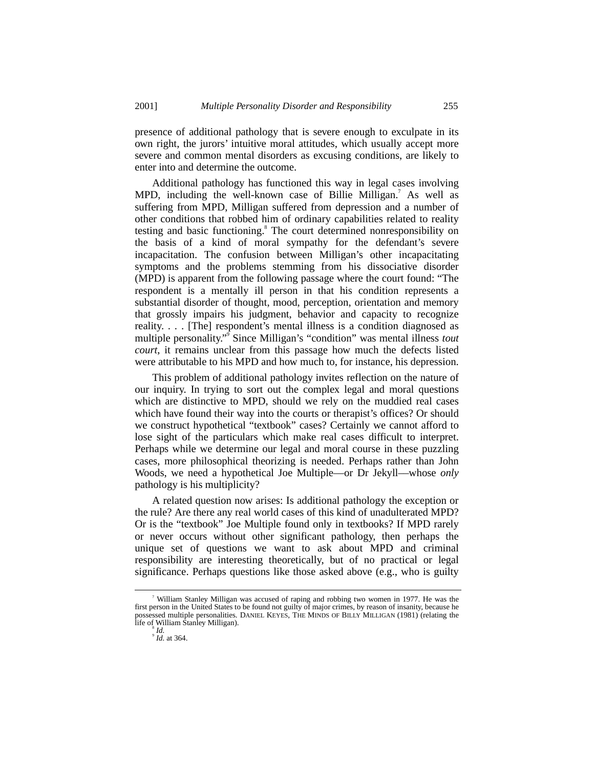presence of additional pathology that is severe enough to exculpate in its own right, the jurors' intuitive moral attitudes, which usually accept more severe and common mental disorders as excusing conditions, are likely to enter into and determine the outcome.

Additional pathology has functioned this way in legal cases involving MPD, including the well-known case of Billie Milligan.<sup>7</sup> As well as suffering from MPD, Milligan suffered from depression and a number of other conditions that robbed him of ordinary capabilities related to reality testing and basic functioning.<sup>8</sup> The court determined nonresponsibility on the basis of a kind of moral sympathy for the defendant's severe incapacitation. The confusion between Milligan's other incapacitating symptoms and the problems stemming from his dissociative disorder (MPD) is apparent from the following passage where the court found: "The respondent is a mentally ill person in that his condition represents a substantial disorder of thought, mood, perception, orientation and memory that grossly impairs his judgment, behavior and capacity to recognize reality. . . . [The] respondent's mental illness is a condition diagnosed as multiple personality." 9 Since Milligan's "condition" was mental illness *tout court*, it remains unclear from this passage how much the defects listed were attributable to his MPD and how much to, for instance, his depression.

This problem of additional pathology invites reflection on the nature of our inquiry. In trying to sort out the complex legal and moral questions which are distinctive to MPD, should we rely on the muddied real cases which have found their way into the courts or therapist's offices? Or should we construct hypothetical "textbook" cases? Certainly we cannot afford to lose sight of the particulars which make real cases difficult to interpret. Perhaps while we determine our legal and moral course in these puzzling cases, more philosophical theorizing is needed. Perhaps rather than John Woods, we need a hypothetical Joe Multiple––or Dr Jekyll––whose *only* pathology is his multiplicity?

A related question now arises: Is additional pathology the exception or the rule? Are there any real world cases of this kind of unadulterated MPD? Or is the "textbook" Joe Multiple found only in textbooks? If MPD rarely or never occurs without other significant pathology, then perhaps the unique set of questions we want to ask about MPD and criminal responsibility are interesting theoretically, but of no practical or legal significance. Perhaps questions like those asked above (e.g., who is guilty

 <sup>7</sup> William Stanley Milligan was accused of raping and robbing two women in 1977. He was the first person in the United States to be found not guilty of major crimes, by reason of insanity, because he possessed multiple personalities. DANIEL KEYES, THE MINDS OF BILLY MILLIGAN (1981) (relating the life of William Stanley Milligan).

<sup>&</sup>lt;sup>8</sup> *Id.* at 364.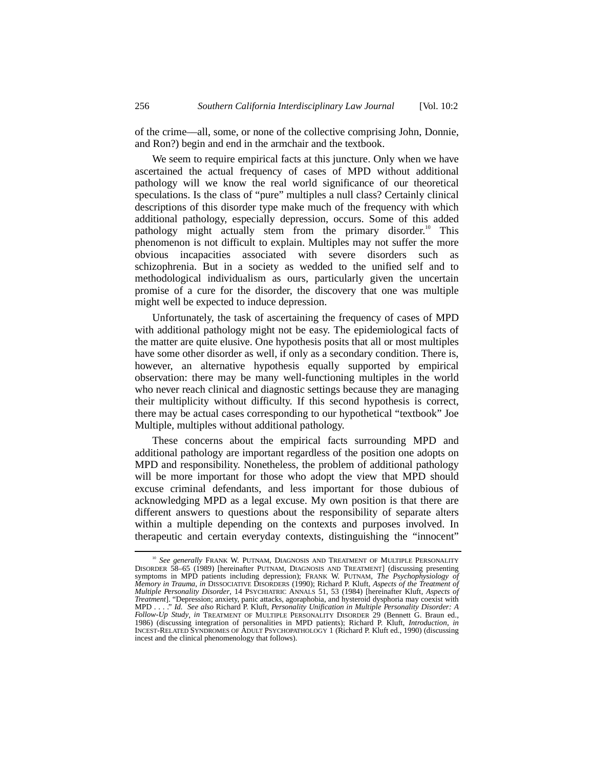of the crime––all, some, or none of the collective comprising John, Donnie, and Ron?) begin and end in the armchair and the textbook.

We seem to require empirical facts at this juncture. Only when we have ascertained the actual frequency of cases of MPD without additional pathology will we know the real world significance of our theoretical speculations. Is the class of "pure" multiples a null class? Certainly clinical descriptions of this disorder type make much of the frequency with which additional pathology, especially depression, occurs. Some of this added pathology might actually stem from the primary disorder.<sup>10</sup> This phenomenon is not difficult to explain. Multiples may not suffer the more obvious incapacities associated with severe disorders such as schizophrenia. But in a society as wedded to the unified self and to methodological individualism as ours, particularly given the uncertain promise of a cure for the disorder, the discovery that one was multiple might well be expected to induce depression.

Unfortunately, the task of ascertaining the frequency of cases of MPD with additional pathology might not be easy. The epidemiological facts of the matter are quite elusive. One hypothesis posits that all or most multiples have some other disorder as well, if only as a secondary condition. There is, however, an alternative hypothesis equally supported by empirical observation: there may be many well-functioning multiples in the world who never reach clinical and diagnostic settings because they are managing their multiplicity without difficulty. If this second hypothesis is correct, there may be actual cases corresponding to our hypothetical "textbook" Joe Multiple, multiples without additional pathology.

These concerns about the empirical facts surrounding MPD and additional pathology are important regardless of the position one adopts on MPD and responsibility. Nonetheless, the problem of additional pathology will be more important for those who adopt the view that MPD should excuse criminal defendants, and less important for those dubious of acknowledging MPD as a legal excuse. My own position is that there are different answers to questions about the responsibility of separate alters within a multiple depending on the contexts and purposes involved. In therapeutic and certain everyday contexts, distinguishing the "innocent"

<sup>&</sup>lt;sup>10</sup> See generally FRANK W. PUTNAM, DIAGNOSIS AND TREATMENT OF MULTIPLE PERSONALITY DISORDER 58–65 (1989) [hereinafter PUTNAM, DIAGNOSIS AND TREATMENT] (discussing presenting symptoms in MPD patients including depression); FRANK W. PUTNAM, *The Psychophysiology of Memory in Trauma*, *in* DISSOCIATIVE DISORDERS (1990); Richard P. Kluft, *Aspects of the Treatment of Multiple Personality Disorder*, 14 PSYCHIATRIC ANNALS 51, 53 (1984) [hereinafter Kluft, *Aspects of* Treatment]. "Depression; anxiety, panic attacks, agoraphobia, and hysteroid dysphoria may coexist with<br>MPD . . . ." Id. See also Richard P. Kluft, Personality Unification in Multiple Personality Disorder: A *Follow-Up Study*, *in* TREATMENT OF MULTIPLE PERSONALITY DISORDER 29 (Bennett G. Braun ed., 1986) (discussing integration of personalities in MPD patients); Richard P. Kluft, *Introduction*, *in* INCEST-RELATED SYNDROMES OF ADULT PSYCHOPATHOLOGY 1 (Richard P. Kluft ed., 1990) (discussing incest and the clinical phenomenology that follows).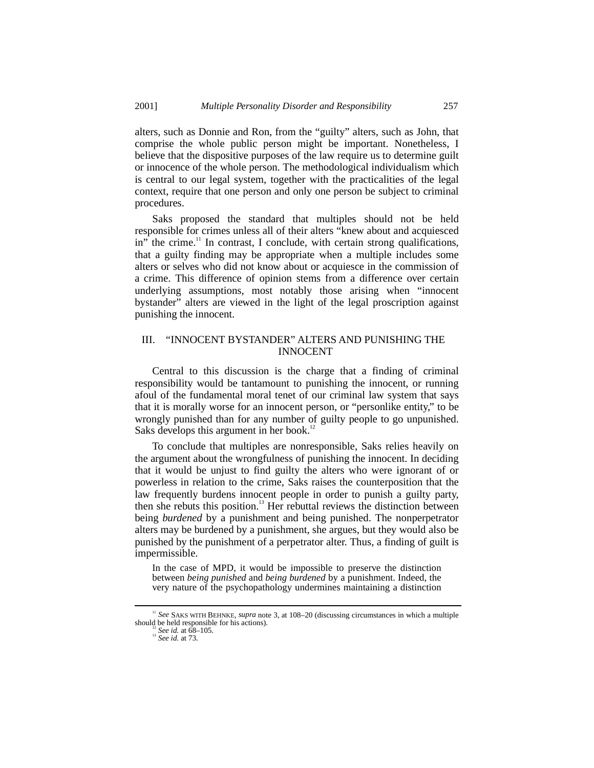alters, such as Donnie and Ron, from the "guilty" alters, such as John, that comprise the whole public person might be important. Nonetheless, I believe that the dispositive purposes of the law require us to determine guilt or innocence of the whole person. The methodological individualism which is central to our legal system, together with the practicalities of the legal context, require that one person and only one person be subject to criminal procedures.

Saks proposed the standard that multiples should not be held responsible for crimes unless all of their alters "knew about and acquiesced in" the crime.<sup>11</sup> In contrast, I conclude, with certain strong qualifications, that a guilty finding may be appropriate when a multiple includes some alters or selves who did not know about or acquiesce in the commission of a crime. This difference of opinion stems from a difference over certain underlying assumptions, most notably those arising when "innocent bystander" alters are viewed in the light of the legal proscription against punishing the innocent.

### III. "INNOCENT BYSTANDER" ALTERS AND PUNISHING THE INNOCENT

Central to this discussion is the charge that a finding of criminal responsibility would be tantamount to punishing the innocent, or running afoul of the fundamental moral tenet of our criminal law system that says that it is morally worse for an innocent person, or "personlike entity," to be wrongly punished than for any number of guilty people to go unpunished. Saks develops this argument in her book.<sup>12</sup>

To conclude that multiples are nonresponsible, Saks relies heavily on the argument about the wrongfulness of punishing the innocent. In deciding that it would be unjust to find guilty the alters who were ignorant of or powerless in relation to the crime, Saks raises the counterposition that the law frequently burdens innocent people in order to punish a guilty party, then she rebuts this position.<sup>13</sup> Her rebuttal reviews the distinction between being *burdened* by a punishment and being punished. The nonperpetrator alters may be burdened by a punishment, she argues, but they would also be punished by the punishment of a perpetrator alter. Thus, a finding of guilt is impermissible.

In the case of MPD, it would be impossible to preserve the distinction between *being punished* and *being burdened* by a punishment. Indeed, the very nature of the psychopathology undermines maintaining a distinction

<sup>&</sup>lt;sup>11</sup> See SAKS WITH BEHNKE, *supra* note 3, at 108–20 (discussing circumstances in which a multiple should be held responsible for his actions).

should be held responsible for his actions). <sup>12</sup> *See id.* at 68–105. <sup>13</sup> *See id.* at 73.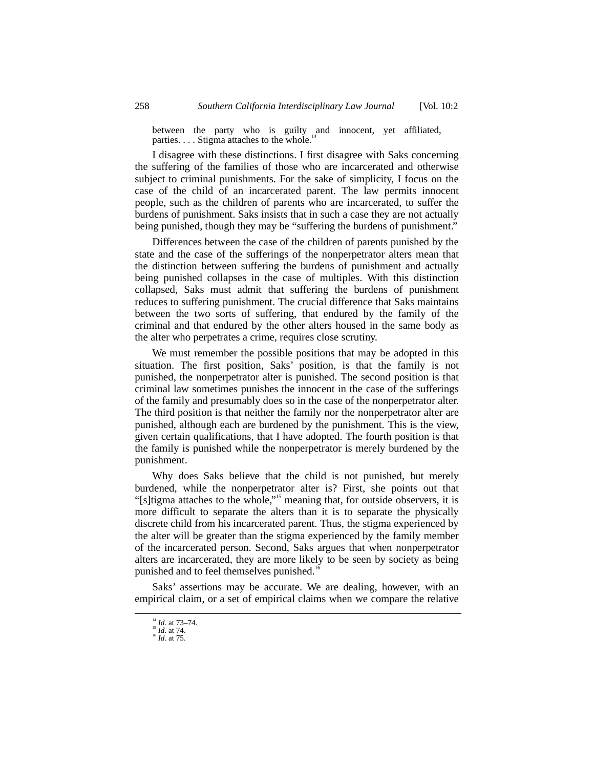between the party who is guilty and innocent, yet affiliated, parties.  $\dots$  Stigma attaches to the whole.

I disagree with these distinctions. I first disagree with Saks concerning the suffering of the families of those who are incarcerated and otherwise subject to criminal punishments. For the sake of simplicity, I focus on the case of the child of an incarcerated parent. The law permits innocent people, such as the children of parents who are incarcerated, to suffer the burdens of punishment. Saks insists that in such a case they are not actually being punished, though they may be "suffering the burdens of punishment."

Differences between the case of the children of parents punished by the state and the case of the sufferings of the nonperpetrator alters mean that the distinction between suffering the burdens of punishment and actually being punished collapses in the case of multiples. With this distinction collapsed, Saks must admit that suffering the burdens of punishment reduces to suffering punishment. The crucial difference that Saks maintains between the two sorts of suffering, that endured by the family of the criminal and that endured by the other alters housed in the same body as the alter who perpetrates a crime, requires close scrutiny.

We must remember the possible positions that may be adopted in this situation. The first position, Saks' position, is that the family is not punished, the nonperpetrator alter is punished. The second position is that criminal law sometimes punishes the innocent in the case of the sufferings of the family and presumably does so in the case of the nonperpetrator alter. The third position is that neither the family nor the nonperpetrator alter are punished, although each are burdened by the punishment. This is the view, given certain qualifications, that I have adopted. The fourth position is that the family is punished while the nonperpetrator is merely burdened by the punishment.

Why does Saks believe that the child is not punished, but merely burdened, while the nonperpetrator alter is? First, she points out that "[s]tigma attaches to the whole,"<sup>15</sup> meaning that, for outside observers, it is more difficult to separate the alters than it is to separate the physically discrete child from his incarcerated parent. Thus, the stigma experienced by the alter will be greater than the stigma experienced by the family member of the incarcerated person. Second, Saks argues that when nonperpetrator alters are incarcerated, they are more likely to be seen by society as being punished and to feel themselves punished.<sup>16</sup>

Saks' assertions may be accurate. We are dealing, however, with an empirical claim, or a set of empirical claims when we compare the relative

<sup>14</sup> *Id.* at 73–74. <sup>15</sup> *Id.* at 74. <sup>16</sup> *Id.* at 75.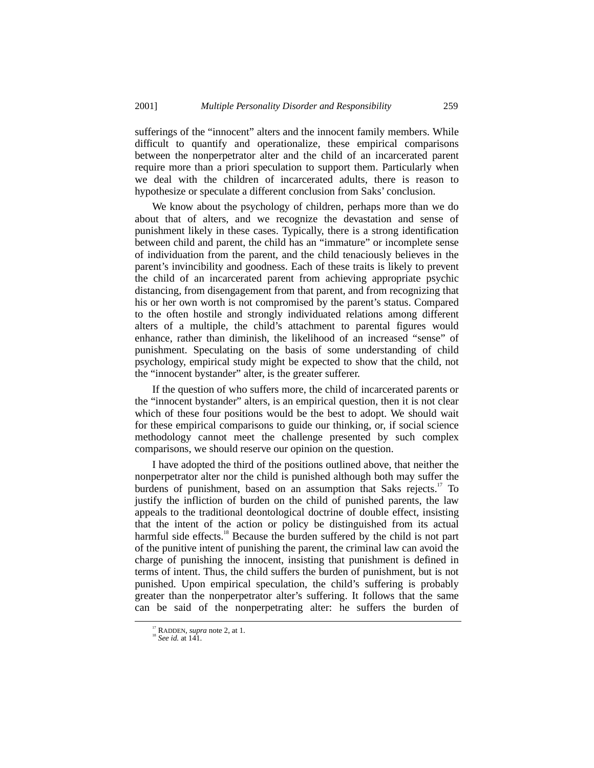sufferings of the "innocent" alters and the innocent family members. While difficult to quantify and operationalize, these empirical comparisons between the nonperpetrator alter and the child of an incarcerated parent require more than a priori speculation to support them. Particularly when we deal with the children of incarcerated adults, there is reason to hypothesize or speculate a different conclusion from Saks' conclusion.

We know about the psychology of children, perhaps more than we do about that of alters, and we recognize the devastation and sense of punishment likely in these cases. Typically, there is a strong identification between child and parent, the child has an "immature" or incomplete sense of individuation from the parent, and the child tenaciously believes in the parent's invincibility and goodness. Each of these traits is likely to prevent the child of an incarcerated parent from achieving appropriate psychic distancing, from disengagement from that parent, and from recognizing that his or her own worth is not compromised by the parent's status. Compared to the often hostile and strongly individuated relations among different alters of a multiple, the child's attachment to parental figures would enhance, rather than diminish, the likelihood of an increased "sense" of punishment. Speculating on the basis of some understanding of child psychology, empirical study might be expected to show that the child, not the "innocent bystander" alter, is the greater sufferer.

If the question of who suffers more, the child of incarcerated parents or the "innocent bystander" alters, is an empirical question, then it is not clear which of these four positions would be the best to adopt. We should wait for these empirical comparisons to guide our thinking, or, if social science methodology cannot meet the challenge presented by such complex comparisons, we should reserve our opinion on the question.

I have adopted the third of the positions outlined above, that neither the nonperpetrator alter nor the child is punished although both may suffer the burdens of punishment, based on an assumption that Saks rejects.<sup>17</sup> To justify the infliction of burden on the child of punished parents, the law appeals to the traditional deontological doctrine of double effect, insisting that the intent of the action or policy be distinguished from its actual harmful side effects.<sup>18</sup> Because the burden suffered by the child is not part of the punitive intent of punishing the parent, the criminal law can avoid the charge of punishing the innocent, insisting that punishment is defined in terms of intent. Thus, the child suffers the burden of punishment, but is not punished. Upon empirical speculation, the child's suffering is probably greater than the nonperpetrator alter's suffering. It follows that the same can be said of the nonperpetrating alter: he suffers the burden of

 <sup>17</sup> RADDEN, *supra* note 2, at 1. <sup>18</sup> *See id.* at 141.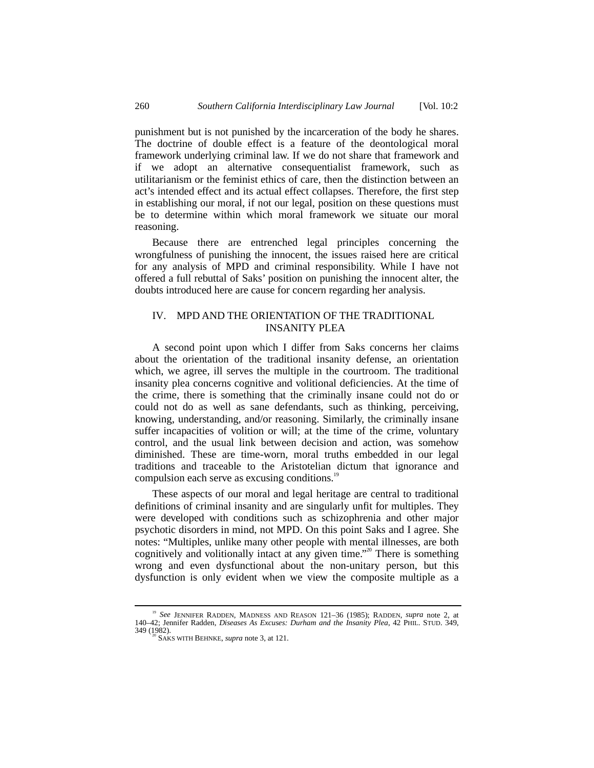punishment but is not punished by the incarceration of the body he shares. The doctrine of double effect is a feature of the deontological moral framework underlying criminal law. If we do not share that framework and if we adopt an alternative consequentialist framework, such as utilitarianism or the feminist ethics of care, then the distinction between an act's intended effect and its actual effect collapses. Therefore, the first step in establishing our moral, if not our legal, position on these questions must be to determine within which moral framework we situate our moral reasoning.

Because there are entrenched legal principles concerning the wrongfulness of punishing the innocent, the issues raised here are critical for any analysis of MPD and criminal responsibility. While I have not offered a full rebuttal of Saks' position on punishing the innocent alter, the doubts introduced here are cause for concern regarding her analysis.

## IV. MPD AND THE ORIENTATION OF THE TRADITIONAL INSANITY PLEA

A second point upon which I differ from Saks concerns her claims about the orientation of the traditional insanity defense, an orientation which, we agree, ill serves the multiple in the courtroom. The traditional insanity plea concerns cognitive and volitional deficiencies. At the time of the crime, there is something that the criminally insane could not do or could not do as well as sane defendants, such as thinking, perceiving, knowing, understanding, and/or reasoning. Similarly, the criminally insane suffer incapacities of volition or will; at the time of the crime, voluntary control, and the usual link between decision and action, was somehow diminished. These are time-worn, moral truths embedded in our legal traditions and traceable to the Aristotelian dictum that ignorance and compulsion each serve as excusing conditions.<sup>19</sup>

These aspects of our moral and legal heritage are central to traditional definitions of criminal insanity and are singularly unfit for multiples. They were developed with conditions such as schizophrenia and other major psychotic disorders in mind, not MPD. On this point Saks and I agree. She notes: "Multiples, unlike many other people with mental illnesses, are both cognitively and volitionally intact at any given time." 20 There is something wrong and even dysfunctional about the non-unitary person, but this dysfunction is only evident when we view the composite multiple as a

 <sup>19</sup> *See* JENNIFER RADDEN, MADNESS AND REASON 121–36 (1985); RADDEN, *supra* note 2, at 140–42; Jennifer Radden, *Diseases As Excuses: Durham and the Insanity Plea*, 42 PHIL. STUD. 349, 349 (1982).

 $\sigma$ <sup>0</sup> SAKS WITH BEHNKE, *supra* note 3, at 121.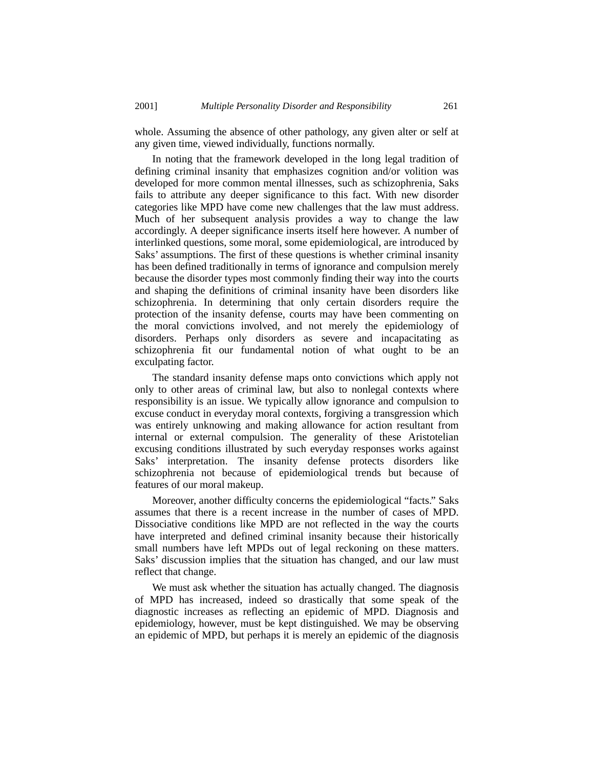whole. Assuming the absence of other pathology, any given alter or self at any given time, viewed individually, functions normally.

In noting that the framework developed in the long legal tradition of defining criminal insanity that emphasizes cognition and/or volition was developed for more common mental illnesses, such as schizophrenia, Saks fails to attribute any deeper significance to this fact. With new disorder categories like MPD have come new challenges that the law must address. Much of her subsequent analysis provides a way to change the law accordingly. A deeper significance inserts itself here however. A number of interlinked questions, some moral, some epidemiological, are introduced by Saks' assumptions. The first of these questions is whether criminal insanity has been defined traditionally in terms of ignorance and compulsion merely because the disorder types most commonly finding their way into the courts and shaping the definitions of criminal insanity have been disorders like schizophrenia. In determining that only certain disorders require the protection of the insanity defense, courts may have been commenting on the moral convictions involved, and not merely the epidemiology of disorders. Perhaps only disorders as severe and incapacitating as schizophrenia fit our fundamental notion of what ought to be an exculpating factor.

The standard insanity defense maps onto convictions which apply not only to other areas of criminal law, but also to nonlegal contexts where responsibility is an issue. We typically allow ignorance and compulsion to excuse conduct in everyday moral contexts, forgiving a transgression which was entirely unknowing and making allowance for action resultant from internal or external compulsion. The generality of these Aristotelian excusing conditions illustrated by such everyday responses works against Saks' interpretation. The insanity defense protects disorders like schizophrenia not because of epidemiological trends but because of features of our moral makeup.

Moreover, another difficulty concerns the epidemiological "facts." Saks assumes that there is a recent increase in the number of cases of MPD. Dissociative conditions like MPD are not reflected in the way the courts have interpreted and defined criminal insanity because their historically small numbers have left MPDs out of legal reckoning on these matters. Saks' discussion implies that the situation has changed, and our law must reflect that change.

We must ask whether the situation has actually changed. The diagnosis of MPD has increased, indeed so drastically that some speak of the diagnostic increases as reflecting an epidemic of MPD. Diagnosis and epidemiology, however, must be kept distinguished. We may be observing an epidemic of MPD, but perhaps it is merely an epidemic of the diagnosis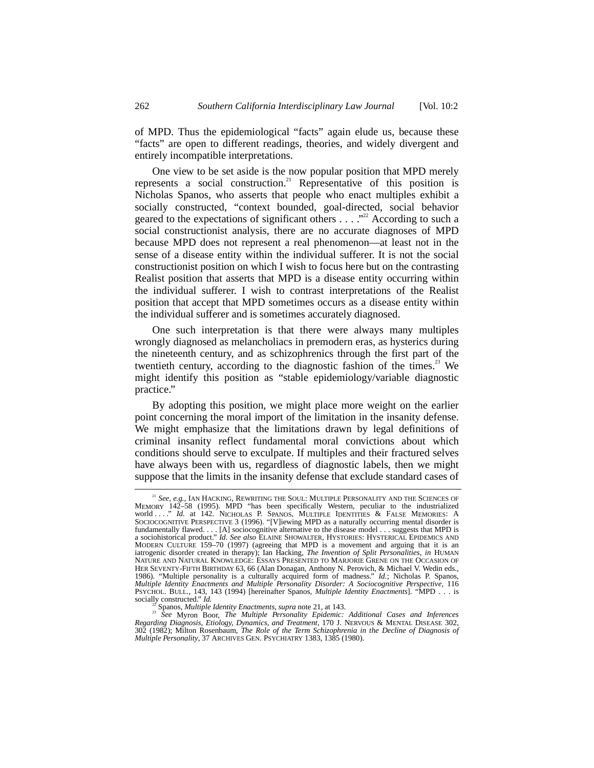of MPD. Thus the epidemiological "facts" again elude us, because these "facts" are open to different readings, theories, and widely divergent and entirely incompatible interpretations.

One view to be set aside is the now popular position that MPD merely represents a social construction.<sup>21</sup> Representative of this position is Nicholas Spanos, who asserts that people who enact multiples exhibit a socially constructed, "context bounded, goal-directed, social behavior geared to the expectations of significant others  $\dots$   $\cdot$   $\cdot$ <sup>22</sup> According to such a social constructionist analysis, there are no accurate diagnoses of MPD because MPD does not represent a real phenomenon––at least not in the sense of a disease entity within the individual sufferer. It is not the social constructionist position on which I wish to focus here but on the contrasting Realist position that asserts that MPD is a disease entity occurring within the individual sufferer. I wish to contrast interpretations of the Realist position that accept that MPD sometimes occurs as a disease entity within the individual sufferer and is sometimes accurately diagnosed.

One such interpretation is that there were always many multiples wrongly diagnosed as melancholiacs in premodern eras, as hysterics during the nineteenth century, and as schizophrenics through the first part of the twentieth century, according to the diagnostic fashion of the times.<sup>23</sup> We might identify this position as "stable epidemiology/variable diagnostic practice."

By adopting this position, we might place more weight on the earlier point concerning the moral import of the limitation in the insanity defense. We might emphasize that the limitations drawn by legal definitions of criminal insanity reflect fundamental moral convictions about which conditions should serve to exculpate. If multiples and their fractured selves have always been with us, regardless of diagnostic labels, then we might suppose that the limits in the insanity defense that exclude standard cases of

<sup>&</sup>lt;sup>21</sup> See, e.g., IAN HACKING, REWRITING THE SOUL: MULTIPLE PERSONALITY AND THE SCIENCES OF MEMORY 142-58 (1995). MPD "has been specifically Western, peculiar to the industrialized world ...." *Id.* at 142. NICHOLAS P. SPANOS, MULTIPLE IDENTITIES & FALSE MEMORIES: A SOCIOCOGNITIVE PERSPECTIVE 3 (1996). "[V]iewing MPD as a naturally occurring mental disorder is fundamentally flawed. . . . [A] sociocognitive alternative to the disease model . . . suggests that MPD is a sociohistorical product." *Id. See also* ELAINE SHOWALTER, HYSTORIES: HYSTERICAL EPIDEMICS AND MODERN CULTURE 159–70 (1997) (agreeing that MPD is a movement and arguing that it is an iatrogenic disorder created in therapy); Ian Hacking, *The Invention of Split Personalities*, *in* HUMAN NATURE AND NATURAL KNOWLEDGE: ESSAYS PRESENTED TO MARJORIE GRENE ON THE OCCASION OF HER SEVENTY-FIFTH BIRTHDAY 63, 66 (Alan Donagan, Anthony N. Perovich, & Michael V. Wedin eds., 1986). "Multiple personality is a culturally acquired form of madness." *Id.*; Nicholas P. Spanos, *Multiple Identity Enactments and Multiple Personality Disorder: A Sociocognitive Perspective*, 116 PSYCHOL. BULL., 143, 143 (1994) [hereinafter Spanos, *Multiple Identity Enactments*]. "MPD . . . is

socially constructed." *Id.* 22 Spanos, *Multiple Identity Enactments*, *supra* note 21, at 143. <sup>23</sup> *See* Myron Boor, *The Multiple Personality Epidemic: Additional Cases and Inferences Regarding Diagnosis, Etiology, Dynamics, and Treatment*, 170 J. NERVOUS & MENTAL DISEASE 302, 302 (1982); Milton Rosenbaum, *The Role of the Term Schizophrenia in the Decline of Diagnosis of Multiple Personality*, 37 ARCHIVES GEN. PSYCHIATRY 1383, 1385 (1980).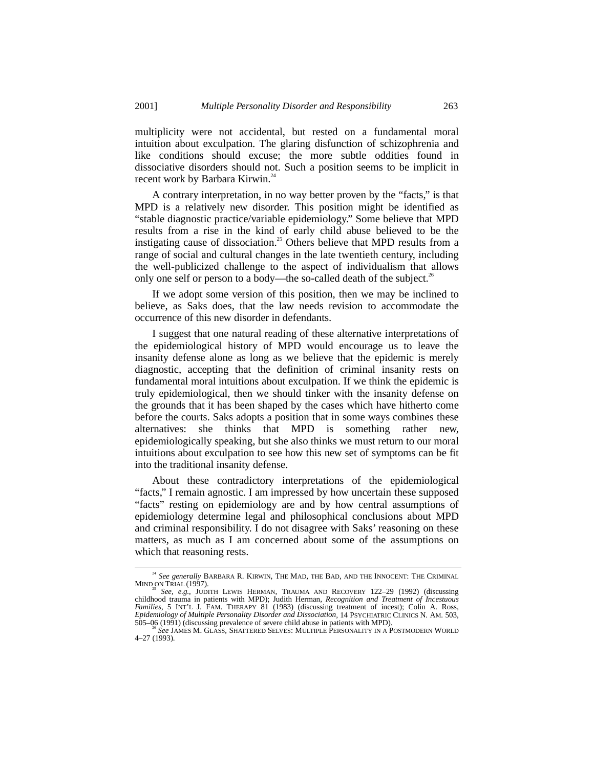multiplicity were not accidental, but rested on a fundamental moral intuition about exculpation. The glaring disfunction of schizophrenia and like conditions should excuse; the more subtle oddities found in dissociative disorders should not. Such a position seems to be implicit in recent work by Barbara Kirwin.<sup>24</sup>

A contrary interpretation, in no way better proven by the "facts," is that MPD is a relatively new disorder. This position might be identified as "stable diagnostic practice/variable epidemiology." Some believe that MPD results from a rise in the kind of early child abuse believed to be the instigating cause of dissociation.<sup>25</sup> Others believe that MPD results from a range of social and cultural changes in the late twentieth century, including the well-publicized challenge to the aspect of individualism that allows only one self or person to a body—the so-called death of the subject.<sup>26</sup>

If we adopt some version of this position, then we may be inclined to believe, as Saks does, that the law needs revision to accommodate the occurrence of this new disorder in defendants.

I suggest that one natural reading of these alternative interpretations of the epidemiological history of MPD would encourage us to leave the insanity defense alone as long as we believe that the epidemic is merely diagnostic, accepting that the definition of criminal insanity rests on fundamental moral intuitions about exculpation. If we think the epidemic is truly epidemiological, then we should tinker with the insanity defense on the grounds that it has been shaped by the cases which have hitherto come before the courts. Saks adopts a position that in some ways combines these alternatives: she thinks that MPD is something rather new, epidemiologically speaking, but she also thinks we must return to our moral intuitions about exculpation to see how this new set of symptoms can be fit into the traditional insanity defense.

About these contradictory interpretations of the epidemiological "facts," I remain agnostic. I am impressed by how uncertain these supposed "facts" resting on epidemiology are and by how central assumptions of epidemiology determine legal and philosophical conclusions about MPD and criminal responsibility. I do not disagree with Saks' reasoning on these matters, as much as I am concerned about some of the assumptions on which that reasoning rests.

 $^{24}$  *See generally* BARBARA R. KIRWIN, THE MAD, THE BAD, AND THE INNOCENT: THE CRIMINAL MIND ON TRIAL (1997).

See, e.g., JUDITH LEWIS HERMAN, TRAUMA AND RECOVERY 122-29 (1992) (discussing childhood trauma in patients with MPD); Judith Herman, *Recognition and Treatment of Incestuous Families*, 5 INT'L J. FAM. THERAPY 81 (1983) (discussing treatment of incest); Colin A. Ross, *Epidemiology of Multiple Personality Disorder and Dissociation*, 14 PSYCHIATRIC CLINICS N. AM. 503,

<sup>505–06 (1991) (</sup>discussing prevalence of severe child abuse in patients with MPD). <sup>26</sup> *See* JAMES M. GLASS, SHATTERED SELVES: MULTIPLE PERSONALITY IN A POSTMODERN WORLD 4–27 (1993).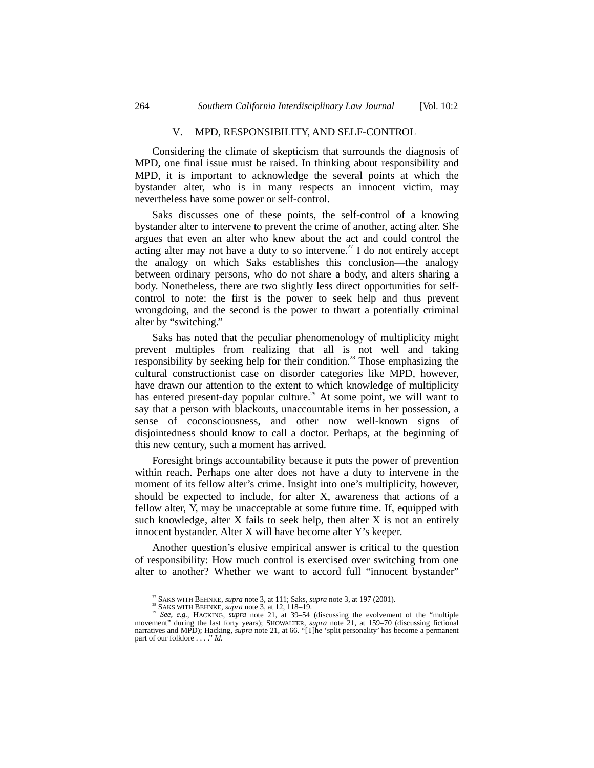#### V. MPD, RESPONSIBILITY, AND SELF-CONTROL

Considering the climate of skepticism that surrounds the diagnosis of MPD, one final issue must be raised. In thinking about responsibility and MPD, it is important to acknowledge the several points at which the bystander alter, who is in many respects an innocent victim, may nevertheless have some power or self-control.

Saks discusses one of these points, the self-control of a knowing bystander alter to intervene to prevent the crime of another, acting alter. She argues that even an alter who knew about the act and could control the acting alter may not have a duty to so intervene.<sup>27</sup> I do not entirely accept the analogy on which Saks establishes this conclusion—the analogy between ordinary persons, who do not share a body, and alters sharing a body. Nonetheless, there are two slightly less direct opportunities for selfcontrol to note: the first is the power to seek help and thus prevent wrongdoing, and the second is the power to thwart a potentially criminal alter by "switching."

Saks has noted that the peculiar phenomenology of multiplicity might prevent multiples from realizing that all is not well and taking responsibility by seeking help for their condition.<sup>28</sup> Those emphasizing the cultural constructionist case on disorder categories like MPD, however, have drawn our attention to the extent to which knowledge of multiplicity has entered present-day popular culture.<sup>29</sup> At some point, we will want to say that a person with blackouts, unaccountable items in her possession, a sense of coconsciousness, and other now well-known signs of disjointedness should know to call a doctor. Perhaps, at the beginning of this new century, such a moment has arrived.

Foresight brings accountability because it puts the power of prevention within reach. Perhaps one alter does not have a duty to intervene in the moment of its fellow alter's crime. Insight into one's multiplicity, however, should be expected to include, for alter X, awareness that actions of a fellow alter, Y, may be unacceptable at some future time. If, equipped with such knowledge, alter X fails to seek help, then alter X is not an entirely innocent bystander. Alter X will have become alter Y's keeper.

Another question's elusive empirical answer is critical to the question of responsibility: How much control is exercised over switching from one alter to another? Whether we want to accord full "innocent bystander"

SAKS WITH BEHNKE, *supra* note 3, at 111; Saks, *supra* note 3, at 197 (2001).<br><sup>28</sup> SAKS WITH BEHNKE, *supra* note 3, at 12, 118–19.<br><sup>29</sup> See, e.g., HACKING, *supra* note 21, at 39–54 (discussing the evolvement of the "mu movement" during the last forty years); SHOWALTER, *supra* note 21, at 159–70 (discussing fictional narratives and MPD); Hacking, *supra* note 21, at 66. "[T]he 'split personality' has become a permanent part of our folklore . . . ." *Id.*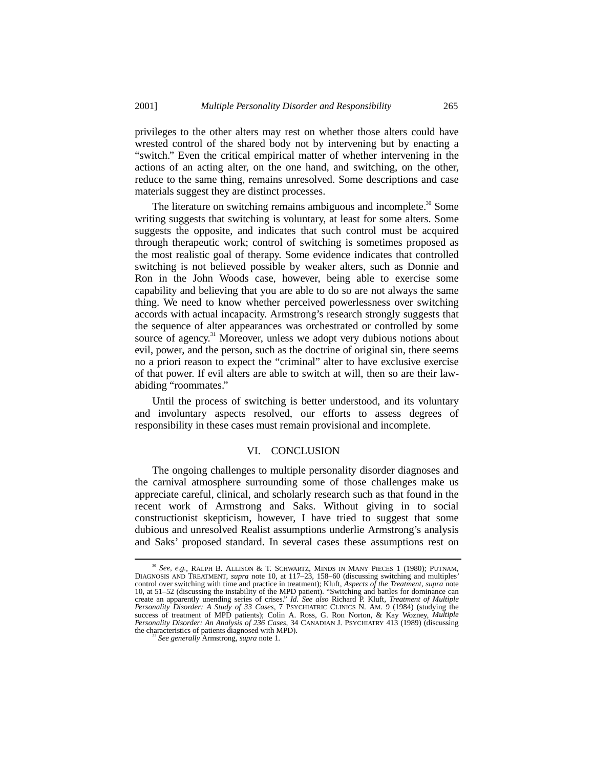privileges to the other alters may rest on whether those alters could have wrested control of the shared body not by intervening but by enacting a "switch." Even the critical empirical matter of whether intervening in the actions of an acting alter, on the one hand, and switching, on the other, reduce to the same thing, remains unresolved. Some descriptions and case materials suggest they are distinct processes.

The literature on switching remains ambiguous and incomplete.<sup>30</sup> Some writing suggests that switching is voluntary, at least for some alters. Some suggests the opposite, and indicates that such control must be acquired through therapeutic work; control of switching is sometimes proposed as the most realistic goal of therapy. Some evidence indicates that controlled switching is not believed possible by weaker alters, such as Donnie and Ron in the John Woods case, however, being able to exercise some capability and believing that you are able to do so are not always the same thing. We need to know whether perceived powerlessness over switching accords with actual incapacity. Armstrong's research strongly suggests that the sequence of alter appearances was orchestrated or controlled by some source of agency.<sup>31</sup> Moreover, unless we adopt very dubious notions about evil, power, and the person, such as the doctrine of original sin, there seems no a priori reason to expect the "criminal" alter to have exclusive exercise of that power. If evil alters are able to switch at will, then so are their lawabiding "roommates."

Until the process of switching is better understood, and its voluntary and involuntary aspects resolved, our efforts to assess degrees of responsibility in these cases must remain provisional and incomplete.

#### VI. CONCLUSION

The ongoing challenges to multiple personality disorder diagnoses and the carnival atmosphere surrounding some of those challenges make us appreciate careful, clinical, and scholarly research such as that found in the recent work of Armstrong and Saks. Without giving in to social constructionist skepticism, however, I have tried to suggest that some dubious and unresolved Realist assumptions underlie Armstrong's analysis and Saks' proposed standard. In several cases these assumptions rest on

<sup>&</sup>lt;sup>30</sup> See, e.g., RALPH B. ALLISON & T. SCHWARTZ, MINDS IN MANY PIECES 1 (1980); PUTNAM, DIAGNOSIS AND TREATMENT, *supra* note 10, at 117–23, 158–60 (discussing switching and multiples' control over switching with time and 10, at 51–52 (discussing the instability of the MPD patient). "Switching and battles for dominance can create an apparently unending series of crises." *Id. See also* Richard P. Kluft, *Treatment of Multiple Personality Disorder: A Study of 33 Cases*, 7 PSYCHIATRIC CLINICS N. AM. 9 (1984) (studying the success of treatment of MPD patients); Colin A. Ross, G. Ron Norton, & Kay Wozney, *Multiple Personality Disorder: An Analysis of 236 Cases*, 34 CANADIAN J. PSYCHIATRY 413 (1989) (discussing the characteristics of patients diagnosed with MPD).

<sup>&</sup>lt;sup>31</sup> See generally Armstrong, *supra* note 1.